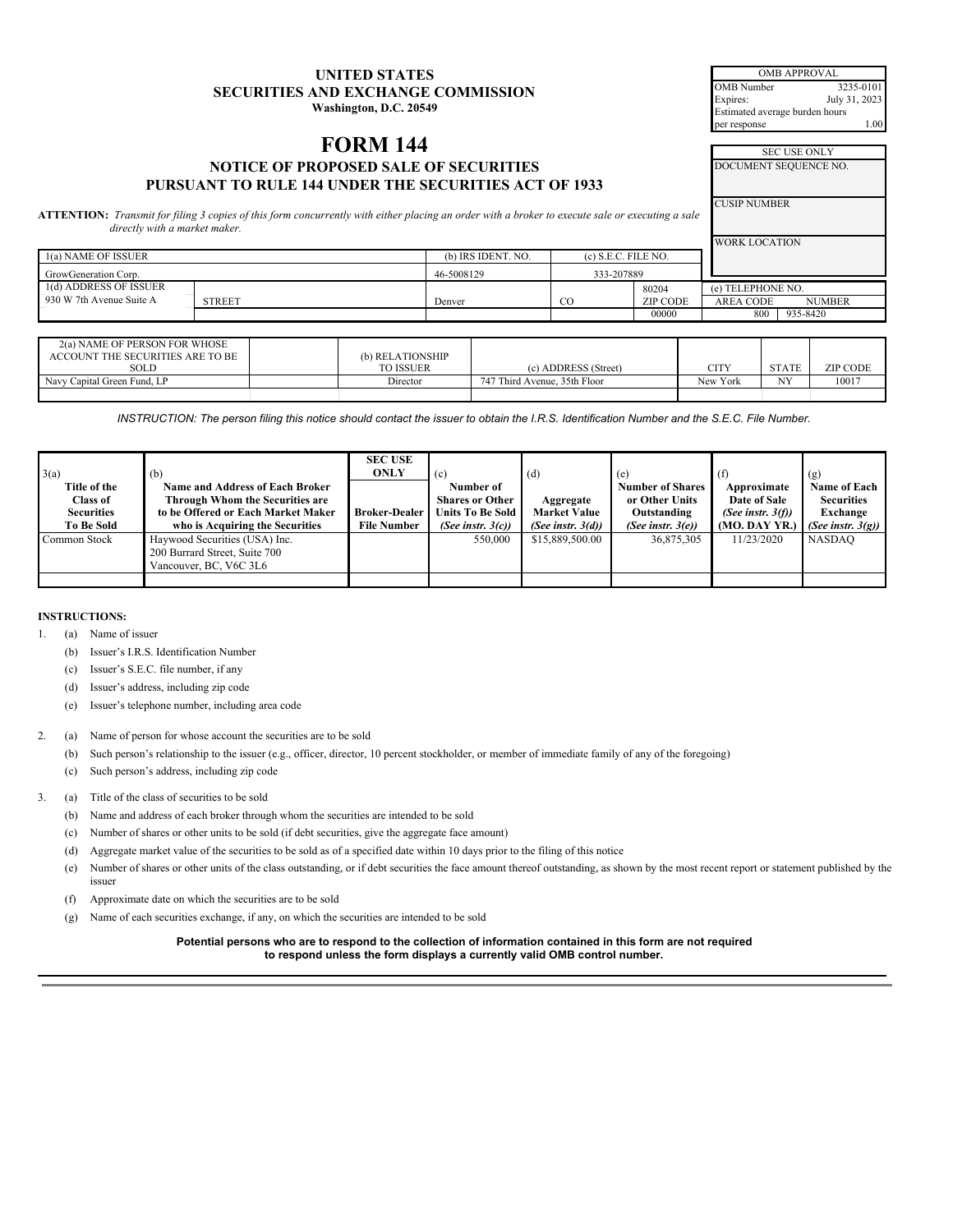| <b>UNITED STATES</b>                      |  |  |  |  |  |
|-------------------------------------------|--|--|--|--|--|
| <b>SECURITIES AND EXCHANGE COMMISSION</b> |  |  |  |  |  |
| Washington, D.C. 20549                    |  |  |  |  |  |

OMB APPROVAL OMB Number 3235-0101<br>Expires: July 31, 2023 July 31, 2023 Estimated average burden hours per response

# **FORM** 144 **NOTICE OF PROPOSED SALE OF SECURITIES PURSUANT TO RULE 144 UNDER THE SECURITIES ACT OF 1933**

| <b>SEC USE ONLY</b>   |  |
|-----------------------|--|
| DOCUMENT SEQUENCE NO. |  |

CUSIP NUMBER

ATTENTION: Transmit for filing 3 copies of this form concurrently with either placing an order with a broker to execute sale or executing a sale *directly with a market maker.*

|                          |               |                    |                       |          | <b>WORK LOCATION</b> |               |
|--------------------------|---------------|--------------------|-----------------------|----------|----------------------|---------------|
| 1(a) NAME OF ISSUER      |               | (b) IRS IDENT, NO. | $(c)$ S.E.C. FILE NO. |          |                      |               |
| GrowGeneration Corp.     |               | 46-5008129         | 333-207889            |          |                      |               |
| 1(d) ADDRESS OF ISSUER   |               |                    |                       | 80204    | (e) TELEPHONE NO.    |               |
| 930 W 7th Avenue Suite A | <b>STREET</b> | Denver             | $_{\rm CO}$           | ZIP CODE | AREA CODE            | <b>NUMBER</b> |
|                          |               |                    |                       | 00000    | 800                  | 935-8420      |

| 2(a) NAME OF PERSON FOR WHOSE    |                  |                              |          |              |                 |
|----------------------------------|------------------|------------------------------|----------|--------------|-----------------|
| ACCOUNT THE SECURITIES ARE TO BE | (b) RELATIONSHIP |                              |          |              |                 |
| SOLD                             | <b>TO ISSUER</b> | (c) ADDRESS (Street)         | CITY     | <b>STATE</b> | <b>ZIP CODE</b> |
| Navy Capital Green Fund, LP      | Director         | 747 Third Avenue, 35th Floor | New York | NY           | 10017           |
|                                  |                  |                              |          |              |                 |

INSTRUCTION: The person filing this notice should contact the issuer to obtain the I.R.S. Identification Number and the S.E.C. File Number.

|                   |                                        | <b>SEC USE</b>       |                         |                      |                         |                      |                      |
|-------------------|----------------------------------------|----------------------|-------------------------|----------------------|-------------------------|----------------------|----------------------|
| 3(a)              | (b)                                    | <b>ONLY</b>          | (c)                     | (d)                  | (e)                     | (f)                  | (g)                  |
| Title of the      | <b>Name and Address of Each Broker</b> |                      | Number of               |                      | <b>Number of Shares</b> | Approximate          | Name of Each         |
| <b>Class of</b>   | Through Whom the Securities are        |                      | <b>Shares or Other</b>  | Aggregate            | or Other Units          | Date of Sale         | <b>Securities</b>    |
| <b>Securities</b> | to be Offered or Each Market Maker     | <b>Broker-Dealer</b> | <b>Units To Be Sold</b> | <b>Market Value</b>  | Outstanding             | (See instr. $3(f)$ ) | Exchange             |
| <b>To Be Sold</b> | who is Acquiring the Securities        | <b>File Number</b>   | (See instr. $3(c)$ )    | (See instr. $3(d)$ ) | (See instr. $3(e)$ )    | (MO. DAY YR.)        | (See instr. $3(g)$ ) |
| Common Stock      | Haywood Securities (USA) Inc.          |                      | 550,000                 | \$15,889,500.00      | 36,875,305              | 11/23/2020           | <b>NASDAO</b>        |
|                   | 200 Burrard Street, Suite 700          |                      |                         |                      |                         |                      |                      |
|                   | Vancouver, BC, V6C 3L6                 |                      |                         |                      |                         |                      |                      |
|                   |                                        |                      |                         |                      |                         |                      |                      |

## **INSTRUCTIONS:**

1. (a) Name of issuer

- (b) Issuer's I.R.S. Identification Number
- (c) Issuer's S.E.C. file number, if any
- (d) Issuer's address, including zip code
- (e) Issuer's telephone number, including area code
- 2. (a) Name of person for whose account the securities are to be sold
	- (b) Such person's relationship to the issuer (e.g., officer, director, 10 percent stockholder, or member of immediate family of any of the foregoing)
	- (c) Such person's address, including zip code

# 3. (a) Title of the class of securities to be sold

- (b) Name and address of each broker through whom the securities are intended to be sold
- (c) Number of shares or other units to be sold (if debt securities, give the aggregate face amount)
- (d) Aggregate market value of the securities to be sold as of a specified date within 10 days prior to the filing of this notice
- (e) Number of shares or other units of the class outstanding, or if debt securities the face amount thereof outstanding, as shown by the most recent report or statement published by the issuer
- (f) Approximate date on which the securities are to be sold
- (g) Name of each securities exchange, if any, on which the securities are intended to be sold

Potential persons who are to respond to the collection of information contained in this form are not required **to respond unless the form displays a currently valid OMB control number.**